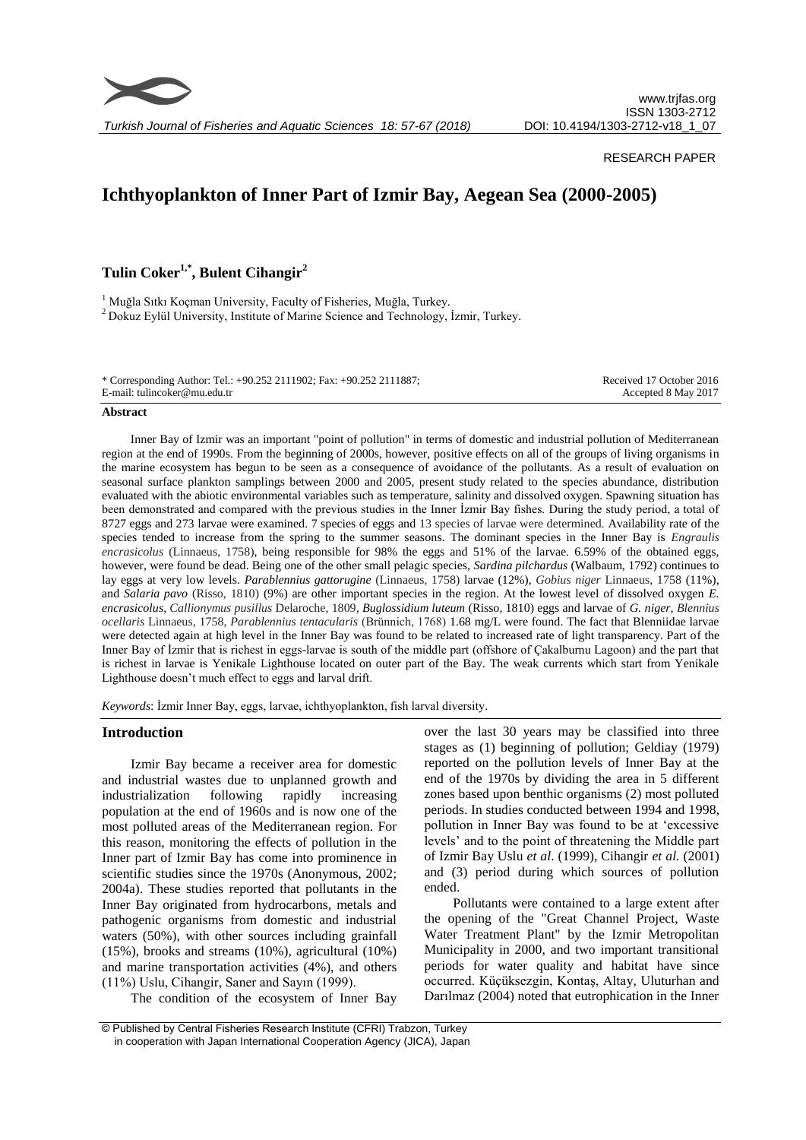

*Turkish Journal of Fisheries and Aquatic Sciences 18: 57-67 (2018)*

## RESEARCH PAPER

# **Ichthyoplankton of Inner Part of Izmir Bay, Aegean Sea (2000-2005)**

**Tulin Coker1,\* , Bulent Cihangir<sup>2</sup>**

<sup>1</sup> Muğla Sıtkı Koçman University, Faculty of Fisheries, Muğla, Turkey. <sup>2</sup> Dokuz Eylül University, Institute of Marine Science and Technology, İzmir, Turkey.

| * Corresponding Author: Tel.: +90.252 2111902; Fax: +90.252 2111887; | Received 17 October 2016 |
|----------------------------------------------------------------------|--------------------------|
| E-mail: tulincoker@mu.edu.tr                                         | Accepted 8 May 2017      |

#### **Abstract**

Inner Bay of Izmir was an important "point of pollution" in terms of domestic and industrial pollution of Mediterranean region at the end of 1990s. From the beginning of 2000s, however, positive effects on all of the groups of living organisms in the marine ecosystem has begun to be seen as a consequence of avoidance of the pollutants. As a result of evaluation on seasonal surface plankton samplings between 2000 and 2005, present study related to the species abundance, distribution evaluated with the abiotic environmental variables such as temperature, salinity and dissolved oxygen. Spawning situation has been demonstrated and compared with the previous studies in the Inner İzmir Bay fishes. During the study period, a total of 8727 eggs and 273 larvae were examined. 7 species of eggs and 13 species of larvae were determined*.* Availability rate of the species tended to increase from the spring to the summer seasons. The dominant species in the Inner Bay is *Engraulis encrasicolus* (Linnaeus, 1758), being responsible for 98% the eggs and 51% of the larvae. 6.59% of the obtained eggs, however, were found be dead. Being one of the other small pelagic species, *Sardina pilchardus* (Walbaum, 1792) continues to lay eggs at very low levels. *Parablennius gattorugine* (Linnaeus, 1758) larvae (12%), *Gobius niger* Linnaeus, 1758 (11%), and *Salaria pavo* (Risso, 1810) (9%) are other important species in the region. At the lowest level of dissolved oxygen *E. encrasicolus, Callionymus pusillus* Delaroche, 1809*, Buglossidium luteum* (Risso, 1810) eggs and larvae of *G. niger, Blennius ocellaris* Linnaeus, 1758, *Parablennius tentacularis* (Brünnich, 1768) 1.68 mg/L were found. The fact that Blenniidae larvae were detected again at high level in the Inner Bay was found to be related to increased rate of light transparency. Part of the Inner Bay of İzmir that is richest in eggs-larvae is south of the middle part (offshore of Çakalburnu Lagoon) and the part that is richest in larvae is Yenikale Lighthouse located on outer part of the Bay. The weak currents which start from Yenikale Lighthouse doesn't much effect to eggs and larval drift.

*Keywords*: İzmir Inner Bay, eggs, larvae, ichthyoplankton, fish larval diversity.

## **Introduction**

Izmir Bay became a receiver area for domestic and industrial wastes due to unplanned growth and industrialization following rapidly increasing population at the end of 1960s and is now one of the most polluted areas of the Mediterranean region. For this reason, monitoring the effects of pollution in the Inner part of Izmir Bay has come into prominence in scientific studies since the 1970s (Anonymous, 2002; 2004a). These studies reported that pollutants in the Inner Bay originated from hydrocarbons, metals and pathogenic organisms from domestic and industrial waters (50%), with other sources including grainfall (15%), brooks and streams (10%), agricultural (10%) and marine transportation activities (4%), and others (11%) Uslu, Cihangir, Saner and Sayın (1999).

The condition of the ecosystem of Inner Bay

over the last 30 years may be classified into three stages as (1) beginning of pollution; Geldiay (1979) reported on the pollution levels of Inner Bay at the end of the 1970s by dividing the area in 5 different zones based upon benthic organisms (2) most polluted periods. In studies conducted between 1994 and 1998, pollution in Inner Bay was found to be at 'excessive levels' and to the point of threatening the Middle part of Izmir Bay Uslu *et al*. (1999), Cihangir *et al.* (2001) and (3) period during which sources of pollution ended.

Pollutants were contained to a large extent after the opening of the "Great Channel Project, Waste Water Treatment Plant" by the Izmir Metropolitan Municipality in 2000, and two important transitional periods for water quality and habitat have since occurred. Küçüksezgin, Kontaş, Altay, Uluturhan and Darılmaz (2004) noted that eutrophication in the Inner

<sup>©</sup> Published by Central Fisheries Research Institute (CFRI) Trabzon, Turkey in cooperation with Japan International Cooperation Agency (JICA), Japan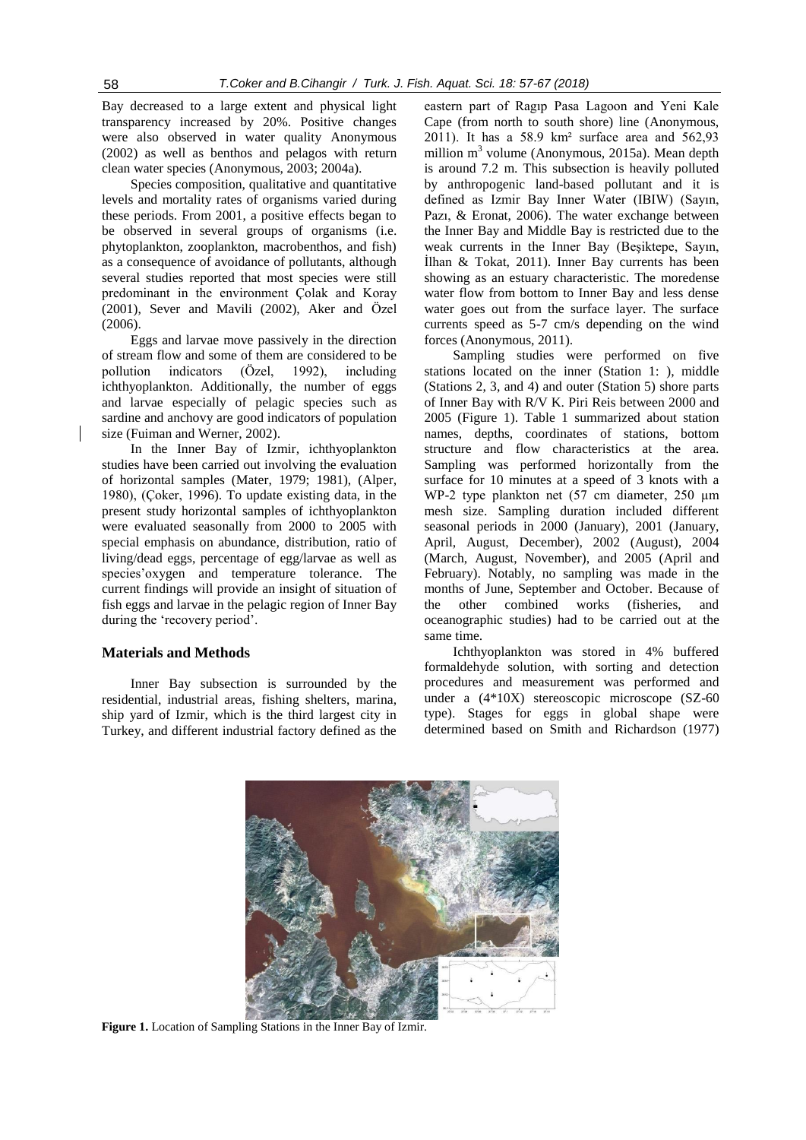Bay decreased to a large extent and physical light transparency increased by 20%. Positive changes were also observed in water quality Anonymous (2002) as well as benthos and pelagos with return clean water species (Anonymous, 2003; 2004a).

Species composition, qualitative and quantitative levels and mortality rates of organisms varied during these periods. From 2001, a positive effects began to be observed in several groups of organisms (i.e. phytoplankton, zooplankton, macrobenthos, and fish) as a consequence of avoidance of pollutants, although several studies reported that most species were still predominant in the environment Çolak and Koray (2001), Sever and Mavili (2002), Aker and Özel (2006).

Eggs and larvae move passively in the direction of stream flow and some of them are considered to be pollution indicators (Özel, 1992), including ichthyoplankton. Additionally, the number of eggs and larvae especially of pelagic species such as sardine and anchovy are good indicators of population size (Fuiman and Werner, 2002).

In the Inner Bay of Izmir, ichthyoplankton studies have been carried out involving the evaluation of horizontal samples (Mater, 1979; 1981), (Alper, 1980), (Çoker, 1996). To update existing data, in the present study horizontal samples of ichthyoplankton were evaluated seasonally from 2000 to 2005 with special emphasis on abundance, distribution, ratio of living/dead eggs, percentage of egg/larvae as well as species'oxygen and temperature tolerance. The current findings will provide an insight of situation of fish eggs and larvae in the pelagic region of Inner Bay during the 'recovery period'.

## **Materials and Methods**

Inner Bay subsection is surrounded by the residential, industrial areas, fishing shelters, marina, ship yard of Izmir, which is the third largest city in Turkey, and different industrial factory defined as the

eastern part of Ragıp Pasa Lagoon and Yeni Kale Cape (from north to south shore) line (Anonymous, 2011). It has a 58.9 km² surface area and 562,93 million  $m<sup>3</sup>$  volume (Anonymous, 2015a). Mean depth is around 7.2 m. This subsection is heavily polluted by anthropogenic land-based pollutant and it is defined as Izmir Bay Inner Water (IBIW) (Sayın, Pazı, & Eronat, 2006). The water exchange between the Inner Bay and Middle Bay is restricted due to the weak currents in the Inner Bay (Beşiktepe, Sayın, İlhan & Tokat, 2011). Inner Bay currents has been showing as an estuary characteristic. The moredense water flow from bottom to Inner Bay and less dense water goes out from the surface layer. The surface currents speed as 5-7 cm/s depending on the wind forces (Anonymous, 2011).

Sampling studies were performed on five stations located on the inner (Station 1: ), middle (Stations 2, 3, and 4) and outer (Station 5) shore parts of Inner Bay with R/V K. Piri Reis between 2000 and 2005 (Figure 1). Table 1 summarized about station names, depths, coordinates of stations, bottom structure and flow characteristics at the area. Sampling was performed horizontally from the surface for 10 minutes at a speed of 3 knots with a WP-2 type plankton net (57 cm diameter, 250 µm mesh size. Sampling duration included different seasonal periods in 2000 (January), 2001 (January, April, August, December), 2002 (August), 2004 (March, August, November), and 2005 (April and February). Notably, no sampling was made in the months of June, September and October. Because of the other combined works (fisheries, and oceanographic studies) had to be carried out at the same time.

Ichthyoplankton was stored in 4% buffered formaldehyde solution, with sorting and detection procedures and measurement was performed and under a (4\*10X) stereoscopic microscope (SZ-60 type). Stages for eggs in global shape were determined based on Smith and Richardson (1977)



**Figure 1.** Location of Sampling Stations in the Inner Bay of Izmir.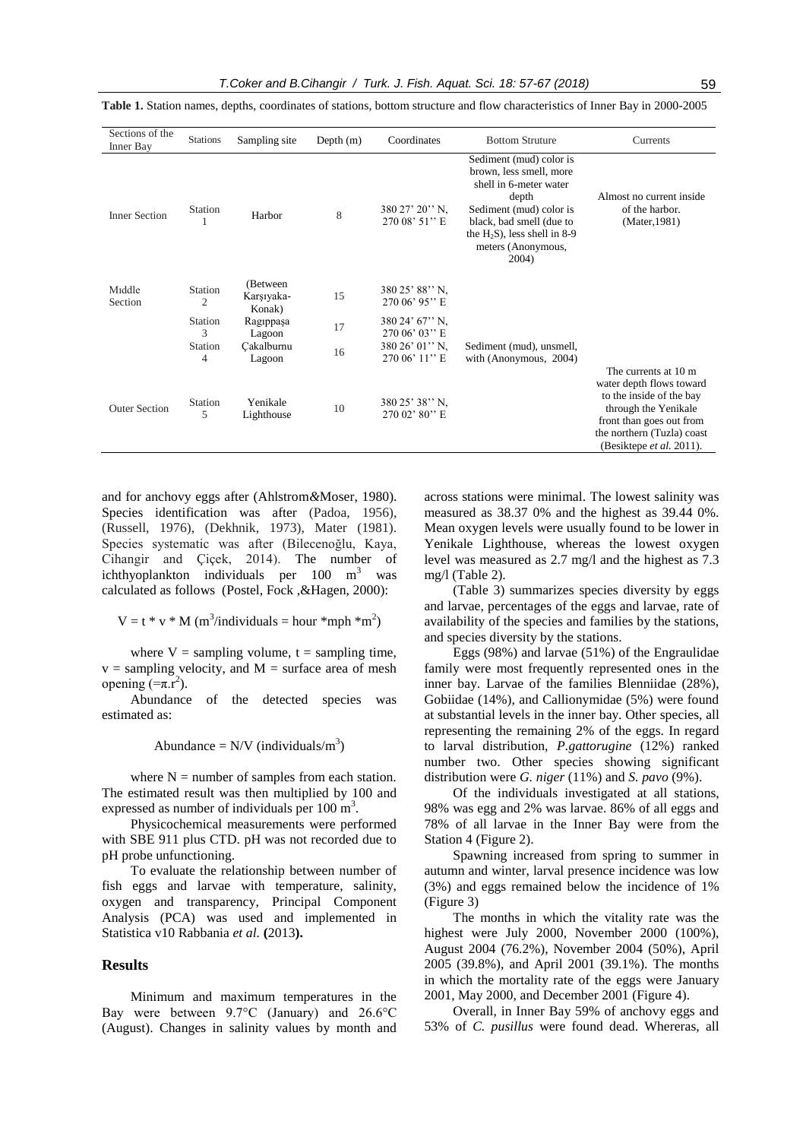| Sections of the<br>Inner Bay | <b>Stations</b>           | Sampling site                     | Depth $(m)$ | Coordinates                            | <b>Bottom Struture</b>                                                                                                                                                                                         | Currents                                                                                                                                                                                   |
|------------------------------|---------------------------|-----------------------------------|-------------|----------------------------------------|----------------------------------------------------------------------------------------------------------------------------------------------------------------------------------------------------------------|--------------------------------------------------------------------------------------------------------------------------------------------------------------------------------------------|
| <b>Inner Section</b>         | Station                   | Harbor                            | 8           | $380\,27'\,20''\,N$ ,<br>270 08' 51" E | Sediment (mud) color is<br>brown, less smell, more<br>shell in 6-meter water<br>depth<br>Sediment (mud) color is<br>black, bad smell (due to<br>the $H_2S$ ), less shell in 8-9<br>meters (Anonymous,<br>2004) | Almost no current inside<br>of the harbor.<br>(Mater, 1981)                                                                                                                                |
| Middle<br>Section            | Station<br>$\overline{2}$ | (Between)<br>Karşıyaka-<br>Konak) | 15          | $380\,25'$ 88" N.<br>270 06' 95" E     |                                                                                                                                                                                                                |                                                                                                                                                                                            |
|                              | Station<br>3              | Ragippaşa<br>Lagoon               | 17          | 380 24' 67" N.<br>270 06' 03" E        |                                                                                                                                                                                                                |                                                                                                                                                                                            |
|                              | <b>Station</b><br>4       | Cakalburnu<br>Lagoon              | 16          | 380 26' 01" N,<br>$270.06'$ 11" E      | Sediment (mud), unsmell,<br>with (Anonymous, 2004)                                                                                                                                                             |                                                                                                                                                                                            |
| <b>Outer Section</b>         | Station<br>5              | Yenikale<br>Lighthouse            | 10          | 380 25' 38" N.<br>270 02' 80" E        |                                                                                                                                                                                                                | The currents at 10 m<br>water depth flows toward<br>to the inside of the bay<br>through the Yenikale<br>front than goes out from<br>the northern (Tuzla) coast<br>(Besiktepe et al. 2011). |

**Table 1.** Station names, depths, coordinates of stations, bottom structure and flow characteristics of Inner Bay in 2000-2005

and for anchovy eggs after (Ahlstrom*&*Moser, 1980). Species identification was after (Padoa, 1956). (Russell, 1976), (Dekhnik, 1973), Mater (1981). Species systematic was after (Bilecenoğlu, Kaya, Cihangir and Çiçek, 2014). The number of ichthyoplankton individuals per  $100 \text{ m}^3$  was calculated as follows (Postel, Fock ,&Hagen, 2000):

$$
V = t * v * M
$$
 (m<sup>3</sup>/individuals = hour \* mph \*m<sup>2</sup>)

where  $V =$  sampling volume,  $t =$  sampling time,  $v =$  sampling velocity, and  $M =$  surface area of mesh opening  $\overline{(-\pi,r^2)}$ .

Abundance of the detected species was estimated as:

Abundance =  $N/V$  (individuals/m<sup>3</sup>)

where  $N =$  number of samples from each station. The estimated result was then multiplied by 100 and expressed as number of individuals per  $100 \text{ m}^3$ .

Physicochemical measurements were performed with SBE 911 plus CTD. pH was not recorded due to pH probe unfunctioning.

To evaluate the relationship between number of fish eggs and larvae with temperature, salinity, oxygen and transparency, Principal Component Analysis (PCA) was used and implemented in Statistica v10 Rabbania *et al.* **(**2013**).**

#### **Results**

Minimum and maximum temperatures in the Bay were between 9.7°C (January) and 26.6°C (August). Changes in salinity values by month and across stations were minimal. The lowest salinity was measured as 38.37 0% and the highest as 39.44 0%. Mean oxygen levels were usually found to be lower in Yenikale Lighthouse, whereas the lowest oxygen level was measured as 2.7 mg/l and the highest as 7.3 mg/l (Table 2).

(Table 3) summarizes species diversity by eggs and larvae, percentages of the eggs and larvae, rate of availability of the species and families by the stations, and species diversity by the stations.

Eggs (98%) and larvae (51%) of the Engraulidae family were most frequently represented ones in the inner bay. Larvae of the families Blenniidae (28%), Gobiidae (14%), and Callionymidae (5%) were found at substantial levels in the inner bay. Other species, all representing the remaining 2% of the eggs. In regard to larval distribution, *P.gattorugine* (12%) ranked number two. Other species showing significant distribution were *G. niger* (11%) and *S. pavo* (9%).

Of the individuals investigated at all stations, 98% was egg and 2% was larvae. 86% of all eggs and 78% of all larvae in the Inner Bay were from the Station 4 (Figure 2).

Spawning increased from spring to summer in autumn and winter, larval presence incidence was low (3%) and eggs remained below the incidence of 1% (Figure 3)

The months in which the vitality rate was the highest were July 2000, November 2000 (100%), August 2004 (76.2%), November 2004 (50%), April 2005 (39.8%), and April 2001 (39.1%). The months in which the mortality rate of the eggs were January 2001, May 2000, and December 2001 (Figure 4).

Overall, in Inner Bay 59% of anchovy eggs and 53% of *C. pusillus* were found dead. Whereras, all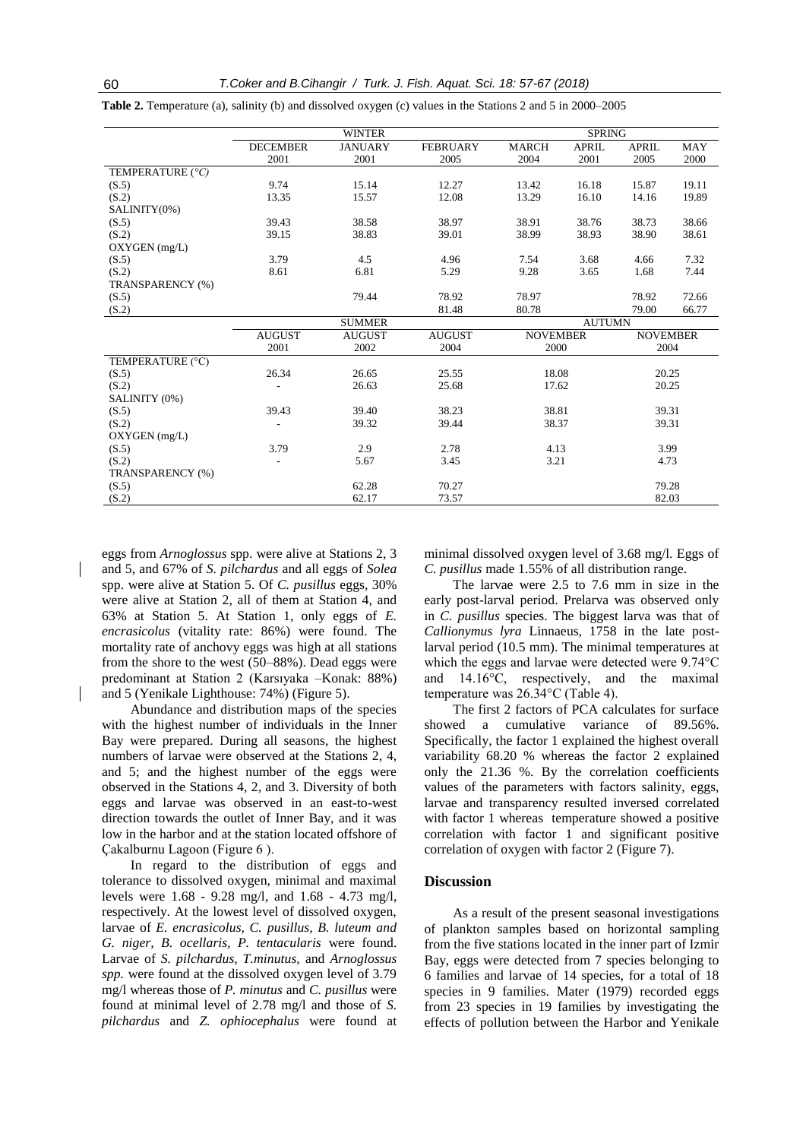|                  |                                | <b>WINTER</b>  |                 | <b>SPRING</b>   |               |                 |            |  |
|------------------|--------------------------------|----------------|-----------------|-----------------|---------------|-----------------|------------|--|
|                  | <b>DECEMBER</b>                | <b>JANUARY</b> | <b>FEBRUARY</b> | <b>MARCH</b>    | <b>APRIL</b>  | <b>APRIL</b>    | <b>MAY</b> |  |
|                  | 2001                           | 2001           | 2005            | 2004            | 2001          | 2005            | 2000       |  |
| TEMPERATURE (°C) |                                |                |                 |                 |               |                 |            |  |
| (S.5)            | 9.74                           | 15.14          | 12.27           | 13.42           | 16.18         | 15.87           | 19.11      |  |
| (S.2)            | 13.35                          | 15.57          | 12.08           | 13.29           | 16.10         | 14.16           | 19.89      |  |
| SALINITY(0%)     |                                |                |                 |                 |               |                 |            |  |
| (S.5)            | 39.43                          | 38.58          | 38.97           | 38.91           | 38.76         | 38.73           | 38.66      |  |
| (S.2)            | 39.15                          | 38.83          | 39.01           | 38.99           | 38.93         | 38.90           | 38.61      |  |
| OXYGEN (mg/L)    |                                |                |                 |                 |               |                 |            |  |
| (S.5)            | 3.79                           | 4.5            | 4.96            | 7.54            | 3.68          | 4.66            | 7.32       |  |
| (S.2)            | 8.61                           | 6.81           | 5.29            | 9.28            | 3.65          | 1.68            | 7.44       |  |
| TRANSPARENCY (%) |                                |                |                 |                 |               |                 |            |  |
| (S.5)            |                                | 79.44          | 78.92           | 78.97           |               | 78.92           | 72.66      |  |
| (S.2)            |                                |                | 81.48           | 80.78           |               | 79.00           | 66.77      |  |
|                  |                                | <b>SUMMER</b>  |                 |                 | <b>AUTUMN</b> |                 |            |  |
|                  | <b>AUGUST</b><br><b>AUGUST</b> |                | <b>AUGUST</b>   | <b>NOVEMBER</b> |               | <b>NOVEMBER</b> |            |  |
|                  | 2001                           | 2002           | 2004            | 2000            |               | 2004            |            |  |
| TEMPERATURE (°C) |                                |                |                 |                 |               |                 |            |  |
| (S.5)            | 26.34                          | 26.65          | 25.55           | 18.08           |               | 20.25           |            |  |
| (S.2)            |                                | 26.63          | 25.68           |                 | 17.62         |                 | 20.25      |  |
| SALINITY (0%)    |                                |                |                 |                 |               |                 |            |  |
| (S.5)            | 39.43                          | 39.40          | 38.23           | 38.81           |               | 39.31           |            |  |
| (S.2)            |                                | 39.32<br>39.44 |                 | 38.37           |               | 39.31           |            |  |
| OXYGEN (mg/L)    |                                |                |                 |                 |               |                 |            |  |
| (S.5)            | 3.79                           | 2.9            | 2.78            | 4.13            |               | 3.99            |            |  |
| (S.2)            |                                | 5.67           | 3.45            | 3.21            |               | 4.73            |            |  |
| TRANSPARENCY (%) |                                |                |                 |                 |               |                 |            |  |
| (S.5)            |                                | 62.28          | 70.27           |                 |               | 79.28           |            |  |
| (S.2)            |                                | 62.17          | 73.57           |                 |               | 82.03           |            |  |

**Table 2.** Temperature (a), salinity (b) and dissolved oxygen (c) values in the Stations 2 and 5 in 2000–2005

eggs from *Arnoglossus* spp. were alive at Stations 2, 3 and 5, and 67% of *S. pilchardus* and all eggs of *Solea*  spp. were alive at Station 5. Of *C. pusillus* eggs, 30% were alive at Station 2, all of them at Station 4, and 63% at Station 5. At Station 1, only eggs of *E. encrasicolus* (vitality rate: 86%) were found. The mortality rate of anchovy eggs was high at all stations from the shore to the west (50–88%). Dead eggs were predominant at Station 2 (Karsıyaka –Konak: 88%) and 5 (Yenikale Lighthouse: 74%) (Figure 5).

Abundance and distribution maps of the species with the highest number of individuals in the Inner Bay were prepared. During all seasons, the highest numbers of larvae were observed at the Stations 2, 4, and 5; and the highest number of the eggs were observed in the Stations 4, 2, and 3. Diversity of both eggs and larvae was observed in an east-to-west direction towards the outlet of Inner Bay, and it was low in the harbor and at the station located offshore of Çakalburnu Lagoon (Figure 6 ).

In regard to the distribution of eggs and tolerance to dissolved oxygen, minimal and maximal levels were 1.68 - 9.28 mg/l, and 1.68 - 4.73 mg/l, respectively. At the lowest level of dissolved oxygen, larvae of *E. encrasicolus, C. pusillus, B. luteum and G. niger, B. ocellaris, P. tentacularis* were found. Larvae of *S. pilchardus, T.minutus,* and *Arnoglossus spp.* were found at the dissolved oxygen level of 3.79 mg/l whereas those of *P. minutus* and *C. pusillus* were found at minimal level of 2.78 mg/l and those of *S. pilchardus* and *Z. ophiocephalus* were found at minimal dissolved oxygen level of 3.68 mg/l. Eggs of *C. pusillus* made 1.55% of all distribution range.

The larvae were 2.5 to 7.6 mm in size in the early post-larval period. Prelarva was observed only in *C. pusillus* species. The biggest larva was that of *Callionymus lyra* Linnaeus, 1758 in the late postlarval period (10.5 mm). The minimal temperatures at which the eggs and larvae were detected were 9.74°C and 14.16°C, respectively, and the maximal temperature was 26.34°C (Table 4).

The first 2 factors of PCA calculates for surface showed a cumulative variance of 89.56%. Specifically, the factor 1 explained the highest overall variability 68.20 % whereas the factor 2 explained only the 21.36 %. By the correlation coefficients values of the parameters with factors salinity, eggs, larvae and transparency resulted inversed correlated with factor 1 whereas temperature showed a positive correlation with factor 1 and significant positive correlation of oxygen with factor 2 (Figure 7).

## **Discussion**

As a result of the present seasonal investigations of plankton samples based on horizontal sampling from the five stations located in the inner part of Izmir Bay, eggs were detected from 7 species belonging to 6 families and larvae of 14 species, for a total of 18 species in 9 families. Mater (1979) recorded eggs from 23 species in 19 families by investigating the effects of pollution between the Harbor and Yenikale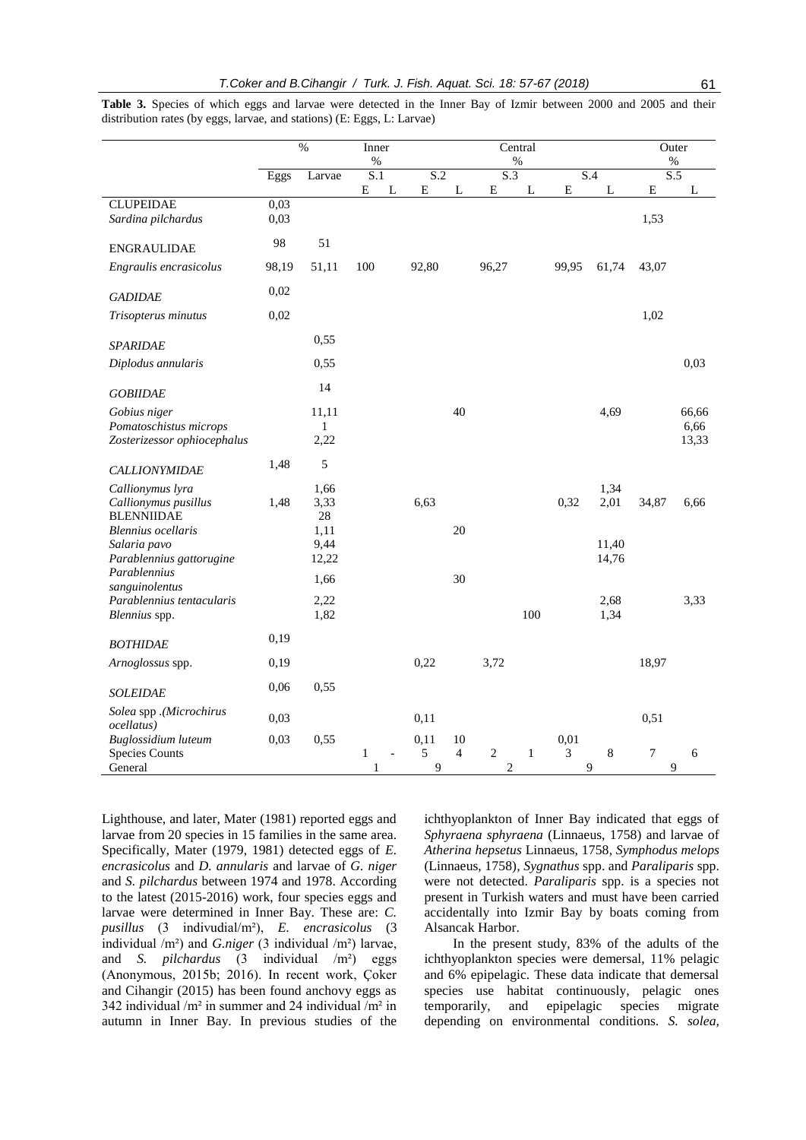|                                           | $\%$         |              | Inner<br>$\%$ |   | Central<br>$\%$ |                |                         |              | Outer<br>$\%$  |             |                |       |
|-------------------------------------------|--------------|--------------|---------------|---|-----------------|----------------|-------------------------|--------------|----------------|-------------|----------------|-------|
|                                           | Eggs         | Larvae       | S.1           |   | S.2             |                | $\overline{S.3}$        |              |                | S.4         | S.5            |       |
|                                           |              |              | ${\bf E}$     | L | E               | L              | Е                       | L            | E              | $\mathbf L$ | ${\bf E}$      | L     |
| <b>CLUPEIDAE</b><br>Sardina pilchardus    | 0,03<br>0,03 |              |               |   |                 |                |                         |              |                |             | 1,53           |       |
| <b>ENGRAULIDAE</b>                        | 98           | 51           |               |   |                 |                |                         |              |                |             |                |       |
| Engraulis encrasicolus                    | 98,19        | 51,11        | 100           |   | 92,80           |                | 96,27                   |              | 99,95          | 61,74       | 43,07          |       |
| <b>GADIDAE</b>                            | 0,02         |              |               |   |                 |                |                         |              |                |             |                |       |
| Trisopterus minutus                       | 0,02         |              |               |   |                 |                |                         |              |                |             | 1,02           |       |
| <b>SPARIDAE</b>                           |              | 0,55         |               |   |                 |                |                         |              |                |             |                |       |
| Diplodus annularis                        |              | 0,55         |               |   |                 |                |                         |              |                |             |                | 0,03  |
| <b>GOBIIDAE</b>                           |              | 14           |               |   |                 |                |                         |              |                |             |                |       |
| Gobius niger                              |              | 11,11        |               |   |                 | 40             |                         |              |                | 4,69        |                | 66,66 |
| Pomatoschistus microps                    |              | $\mathbf{1}$ |               |   |                 |                |                         |              |                |             |                | 6,66  |
| Zosterizessor ophiocephalus               |              | 2,22         |               |   |                 |                |                         |              |                |             |                | 13,33 |
| <b>CALLIONYMIDAE</b>                      | 1,48         | 5            |               |   |                 |                |                         |              |                |             |                |       |
| Callionymus lyra                          |              | 1,66         |               |   |                 |                |                         |              |                | 1,34        |                |       |
| Callionymus pusillus<br><b>BLENNIIDAE</b> | 1,48         | 3,33<br>28   |               |   | 6,63            |                |                         |              | 0,32           | 2,01        | 34,87          | 6,66  |
| <b>Blennius</b> ocellaris                 |              | 1,11         |               |   |                 | 20             |                         |              |                |             |                |       |
| Salaria pavo                              |              | 9,44         |               |   |                 |                |                         |              |                | 11,40       |                |       |
| Parablennius gattorugine                  |              | 12,22        |               |   |                 |                |                         |              |                | 14,76       |                |       |
| Parablennius<br>sanguinolentus            |              | 1,66         |               |   |                 | 30             |                         |              |                |             |                |       |
| Parablennius tentacularis                 |              | 2,22         |               |   |                 |                |                         |              |                | 2,68        |                | 3,33  |
| Blennius spp.                             |              | 1,82         |               |   |                 |                |                         | 100          |                | 1,34        |                |       |
| <b>BOTHIDAE</b>                           | 0,19         |              |               |   |                 |                |                         |              |                |             |                |       |
| Arnoglossus spp.                          | 0,19         |              |               |   | 0,22            |                | 3,72                    |              |                |             | 18,97          |       |
| <b>SOLEIDAE</b>                           | 0,06         | 0,55         |               |   |                 |                |                         |              |                |             |                |       |
| Solea spp .(Microchirus<br>ocellatus)     | 0,03         |              |               |   | 0,11            |                |                         |              |                |             | 0,51           |       |
| Buglossidium luteum                       | 0,03         | 0,55         |               |   | 0,11            | 10             |                         |              | 0,01           |             |                |       |
| <b>Species Counts</b>                     |              |              | $\mathbf{1}$  |   | 5               | $\overline{4}$ | $\sqrt{2}$              | $\mathbf{1}$ | $\mathfrak{Z}$ | $\,8\,$     | $\overline{7}$ | 6     |
| General                                   |              |              | 1             |   | 9               |                | $\overline{\mathbf{c}}$ |              |                | 9           | 9              |       |

**Table 3.** Species of which eggs and larvae were detected in the Inner Bay of Izmir between 2000 and 2005 and their distribution rates (by eggs, larvae, and stations) (E: Eggs, L: Larvae)

Lighthouse, and later, Mater (1981) reported eggs and larvae from 20 species in 15 families in the same area. Specifically, Mater (1979, 1981) detected eggs of *E. encrasicolus* and *D. annularis* and larvae of *G. niger*  and *S. pilchardus* between 1974 and 1978. According to the latest (2015-2016) work, four species eggs and larvae were determined in Inner Bay. These are: *C. pusillus* (3 indivudial/m²), *E. encrasicolus* (3 individual /m²) and *G.niger* (3 individual /m²) larvae, and *S. pilchardus* (3 individual /m²) eggs (Anonymous, 2015b; 2016). In recent work, Çoker and Cihangir (2015) has been found anchovy eggs as 342 individual /m² in summer and 24 individual /m² in autumn in Inner Bay. In previous studies of the ichthyoplankton of Inner Bay indicated that eggs of *Sphyraena sphyraena* (Linnaeus, 1758) and larvae of *Atherina hepsetus* Linnaeus, 1758*, Symphodus melops*  (Linnaeus, 1758)*, Sygnathus* spp. and *Paraliparis* spp. were not detected. *Paraliparis* spp. is a species not present in Turkish waters and must have been carried accidentally into Izmir Bay by boats coming from Alsancak Harbor.

In the present study, 83% of the adults of the ichthyoplankton species were demersal, 11% pelagic and 6% epipelagic. These data indicate that demersal species use habitat continuously, pelagic ones temporarily, and epipelagic species migrate depending on environmental conditions. *S. solea,*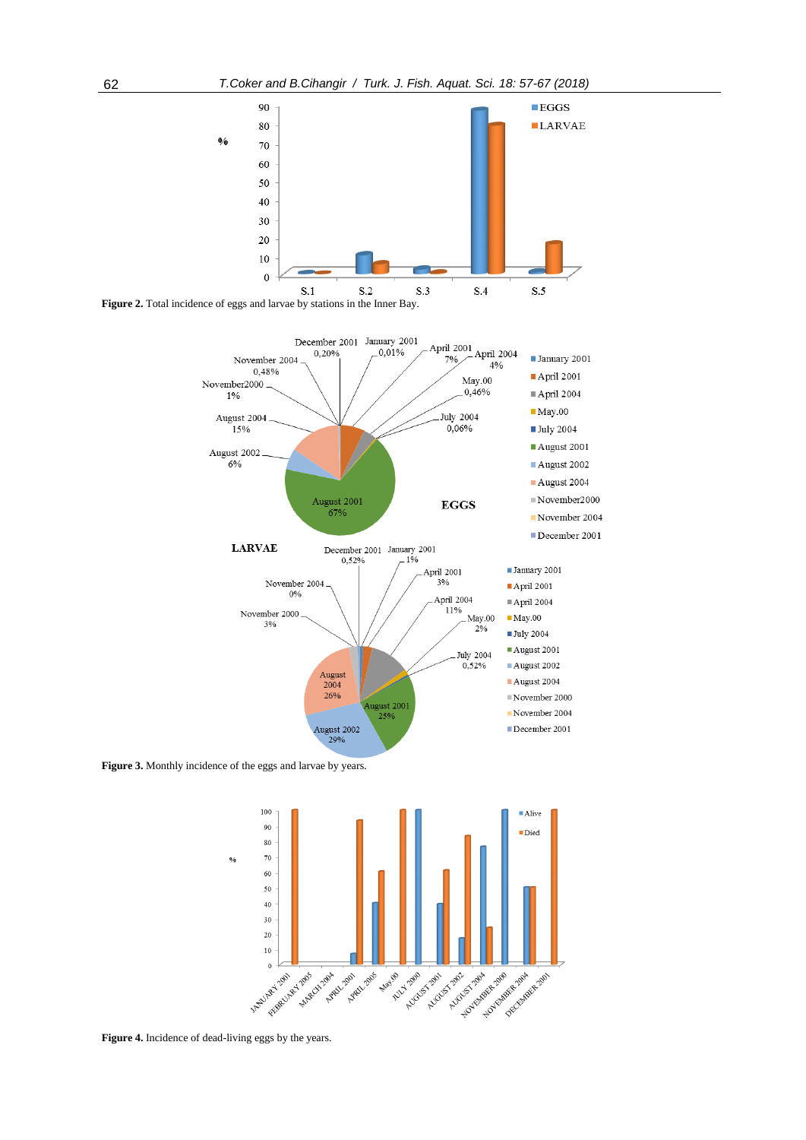





**Figure 3.** Monthly incidence of the eggs and larvae by years.



Figure 4. Incidence of dead-living eggs by the years.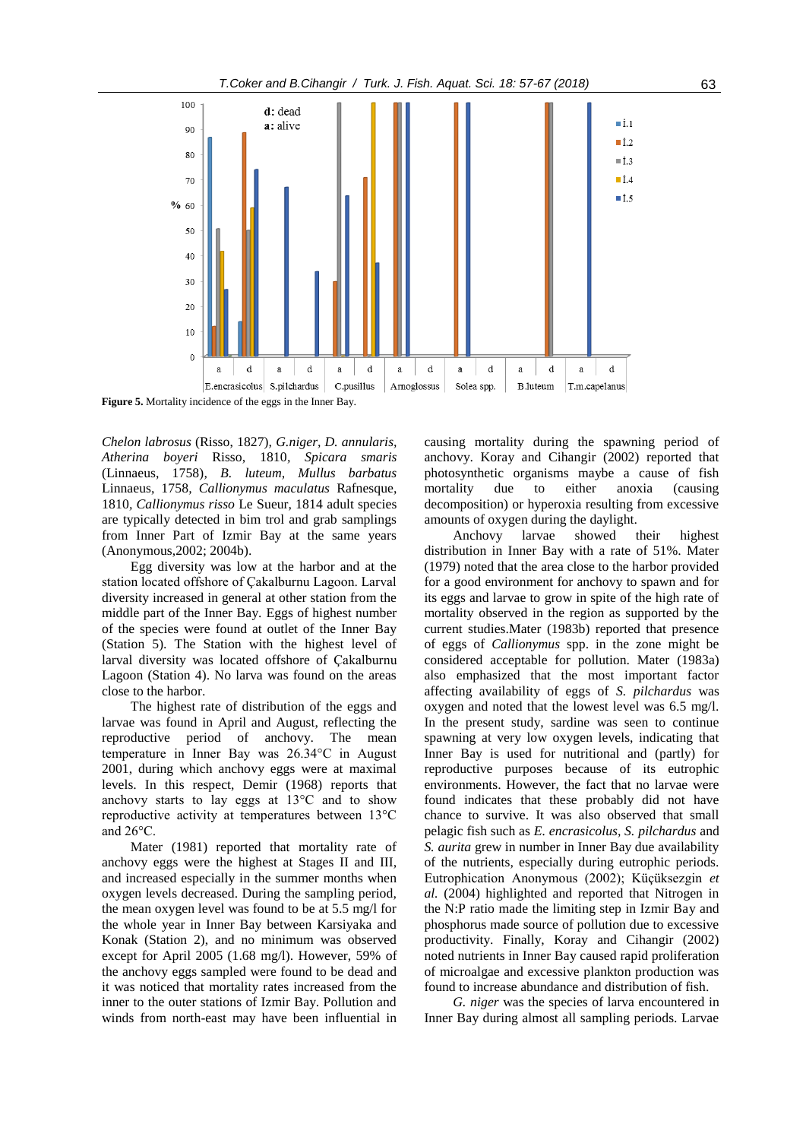

**Figure 5.** Mortality incidence of the eggs in the Inner Bay.

*Chelon labrosus* (Risso, 1827)*, G.niger, D. annularis, Atherina boyeri* Risso, 1810*, Spicara smaris*  (Linnaeus, 1758)*, B. luteum, Mullus barbatus*  Linnaeus, 1758*, Callionymus maculatus* Rafnesque, 1810*, Callionymus risso* Le Sueur, 1814 adult species are typically detected in bim trol and grab samplings from Inner Part of Izmir Bay at the same years (Anonymous,2002; 2004b).

Egg diversity was low at the harbor and at the station located offshore of Çakalburnu Lagoon. Larval diversity increased in general at other station from the middle part of the Inner Bay. Eggs of highest number of the species were found at outlet of the Inner Bay (Station 5). The Station with the highest level of larval diversity was located offshore of Çakalburnu Lagoon (Station 4). No larva was found on the areas close to the harbor.

The highest rate of distribution of the eggs and larvae was found in April and August, reflecting the reproductive period of anchovy. The mean temperature in Inner Bay was 26.34°C in August 2001, during which anchovy eggs were at maximal levels. In this respect, Demir (1968) reports that anchovy starts to lay eggs at 13°C and to show reproductive activity at temperatures between 13°C and 26°C.

Mater (1981) reported that mortality rate of anchovy eggs were the highest at Stages II and III, and increased especially in the summer months when oxygen levels decreased. During the sampling period, the mean oxygen level was found to be at 5.5 mg/l for the whole year in Inner Bay between Karsiyaka and Konak (Station 2), and no minimum was observed except for April 2005 (1.68 mg/l). However, 59% of the anchovy eggs sampled were found to be dead and it was noticed that mortality rates increased from the inner to the outer stations of Izmir Bay. Pollution and winds from north-east may have been influential in causing mortality during the spawning period of anchovy. Koray and Cihangir (2002) reported that photosynthetic organisms maybe a cause of fish mortality due to either anoxia (causing decomposition) or hyperoxia resulting from excessive amounts of oxygen during the daylight.

Anchovy larvae showed their highest distribution in Inner Bay with a rate of 51%. Mater (1979) noted that the area close to the harbor provided for a good environment for anchovy to spawn and for its eggs and larvae to grow in spite of the high rate of mortality observed in the region as supported by the current studies.Mater (1983b) reported that presence of eggs of *Callionymus* spp. in the zone might be considered acceptable for pollution. Mater (1983a) also emphasized that the most important factor affecting availability of eggs of *S. pilchardus* was oxygen and noted that the lowest level was 6.5 mg/l. In the present study, sardine was seen to continue spawning at very low oxygen levels, indicating that Inner Bay is used for nutritional and (partly) for reproductive purposes because of its eutrophic environments. However, the fact that no larvae were found indicates that these probably did not have chance to survive. It was also observed that small pelagic fish such as *E. encrasicolus, S. pilchardus* and *S. aurita* grew in number in Inner Bay due availability of the nutrients, especially during eutrophic periods. Eutrophication Anonymous (2002); Küçüksezgin *et al.* (2004) highlighted and reported that Nitrogen in the N:P ratio made the limiting step in Izmir Bay and phosphorus made source of pollution due to excessive productivity. Finally, Koray and Cihangir (2002) noted nutrients in Inner Bay caused rapid proliferation of microalgae and excessive plankton production was found to increase abundance and distribution of fish.

*G. niger* was the species of larva encountered in Inner Bay during almost all sampling periods. Larvae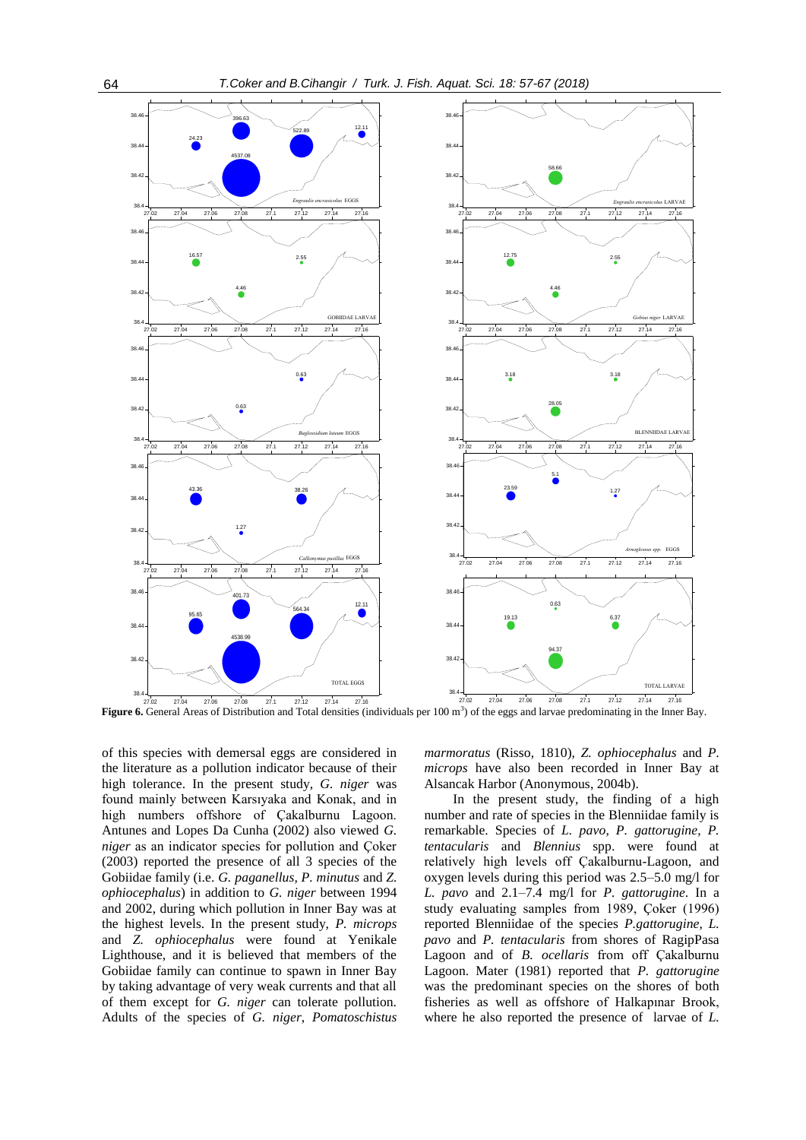

**Figure 6.** General Areas of Distribution and Total densities (individuals per 100 m<sup>3</sup>) of the eggs and larvae predominating in the Inner Bay.

of this species with demersal eggs are considered in the literature as a pollution indicator because of their high tolerance. In the present study, *G. niger* was found mainly between Karsıyaka and Konak, and in high numbers offshore of Çakalburnu Lagoon. Antunes and Lopes Da Cunha (2002) also viewed *G. niger* as an indicator species for pollution and Çoker (2003) reported the presence of all 3 species of the Gobiidae family (i.e. *G. paganellus, P. minutus* and *Z. ophiocephalus*) in addition to *G. niger* between 1994 and 2002, during which pollution in Inner Bay was at the highest levels. In the present study, *P. microps*  and *Z. ophiocephalus* were found at Yenikale Lighthouse, and it is believed that members of the Gobiidae family can continue to spawn in Inner Bay by taking advantage of very weak currents and that all of them except for *G. niger* can tolerate pollution. Adults of the species of *G. niger*, *Pomatoschistus*  *marmoratus* (Risso, 1810)*, Z. ophiocephalus* and *P. microps* have also been recorded in Inner Bay at Alsancak Harbor (Anonymous, 2004b).

In the present study, the finding of a high number and rate of species in the Blenniidae family is remarkable. Species of *L. pavo, P. gattorugine, P. tentacularis* and *Blennius* spp. were found at relatively high levels off Çakalburnu-Lagoon, and oxygen levels during this period was 2.5–5.0 mg/l for *L. pavo* and 2.1–7.4 mg/l for *P. gattorugine*. In a study evaluating samples from 1989, Çoker (1996) reported Blenniidae of the species *P.gattorugine, L. pavo* and *P. tentacularis* from shores of RagipPasa Lagoon and of *B. ocellaris* from off Çakalburnu Lagoon. Mater (1981) reported that *P. gattorugine*  was the predominant species on the shores of both fisheries as well as offshore of Halkapınar Brook, where he also reported the presence of larvae of *L.*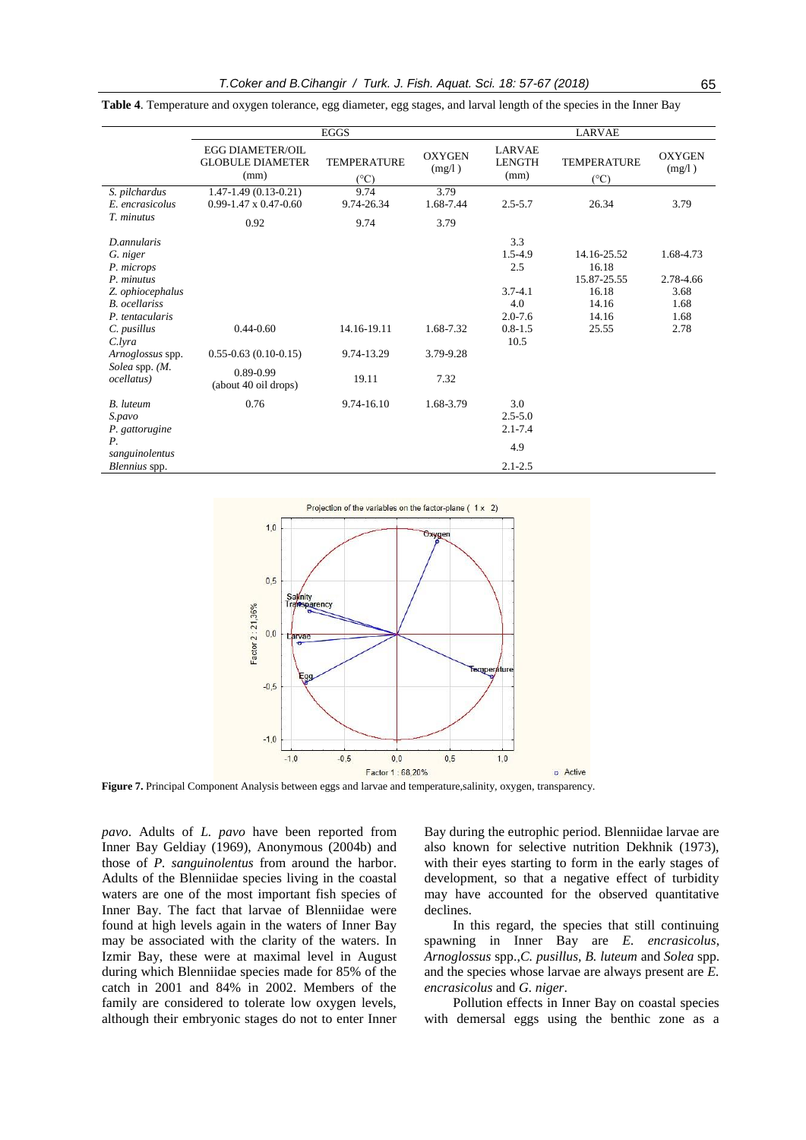|                                                                                                                                                                                                         |                                                                                 | <b>EGGS</b>                         | <b>LARVAE</b>                  |                                                                                   |                                                                         |                                                        |  |
|---------------------------------------------------------------------------------------------------------------------------------------------------------------------------------------------------------|---------------------------------------------------------------------------------|-------------------------------------|--------------------------------|-----------------------------------------------------------------------------------|-------------------------------------------------------------------------|--------------------------------------------------------|--|
|                                                                                                                                                                                                         | <b>EGG DIAMETER/OIL</b><br><b>GLOBULE DIAMETER</b><br>(mm)                      | <b>TEMPERATURE</b><br>$(^{\circ}C)$ | <b>OXYGEN</b><br>(mg/l)        | <b>LARVAE</b><br><b>LENGTH</b><br>(mm)                                            | <b>TEMPERATURE</b><br>$(^{\circ}C)$                                     | <b>OXYGEN</b><br>(mg/l)                                |  |
| S. pilchardus<br>E. encrasicolus                                                                                                                                                                        | $1.47 - 1.49(0.13 - 0.21)$<br>$0.99 - 1.47 \times 0.47 - 0.60$                  | 9.74<br>9.74-26.34                  | 3.79<br>1.68-7.44              | $2.5 - 5.7$                                                                       | 26.34                                                                   | 3.79                                                   |  |
| T. minutus                                                                                                                                                                                              | 0.92                                                                            | 9.74                                | 3.79                           |                                                                                   |                                                                         |                                                        |  |
| D.annularis<br>G. niger<br>P. microps<br>P. minutus<br>Z. ophiocephalus<br><b>B.</b> ocellariss<br>P. tentacularis<br>C. pusillus<br>C.lyra<br>Arnoglossus spp.<br>Solea spp. (M.<br><i>ocellatus</i> ) | $0.44 - 0.60$<br>$0.55 - 0.63$ (0.10-0.15)<br>0.89-0.99<br>(about 40 oil drops) | 14.16-19.11<br>9.74-13.29<br>19.11  | 1.68-7.32<br>3.79-9.28<br>7.32 | 3.3<br>1.5-4.9<br>2.5<br>$3.7 - 4.1$<br>4.0<br>$2.0 - 7.6$<br>$0.8 - 1.5$<br>10.5 | 14.16-25.52<br>16.18<br>15.87-25.55<br>16.18<br>14.16<br>14.16<br>25.55 | 1.68-4.73<br>2.78-4.66<br>3.68<br>1.68<br>1.68<br>2.78 |  |
| <b>B.</b> luteum<br>S.pavo<br>P. gattorugine                                                                                                                                                            | 0.76                                                                            | 9.74-16.10                          | 1.68-3.79                      | 3.0<br>$2.5 - 5.0$<br>$2.1 - 7.4$                                                 |                                                                         |                                                        |  |
| Р.<br>sanguinolentus                                                                                                                                                                                    |                                                                                 |                                     |                                | 4.9                                                                               |                                                                         |                                                        |  |
| Blennius spp.                                                                                                                                                                                           |                                                                                 |                                     |                                | $2.1 - 2.5$                                                                       |                                                                         |                                                        |  |

**Table 4**. Temperature and oxygen tolerance, egg diameter, egg stages, and larval length of the species in the Inner Bay



**Figure 7.** Principal Component Analysis between eggs and larvae and temperature,salinity, oxygen, transparency.

*pavo*. Adults of *L. pavo* have been reported from Inner Bay Geldiay (1969), Anonymous (2004b) and those of *P. sanguinolentus* from around the harbor. Adults of the Blenniidae species living in the coastal waters are one of the most important fish species of Inner Bay. The fact that larvae of Blenniidae were found at high levels again in the waters of Inner Bay may be associated with the clarity of the waters. In Izmir Bay, these were at maximal level in August during which Blenniidae species made for 85% of the catch in 2001 and 84% in 2002. Members of the family are considered to tolerate low oxygen levels, although their embryonic stages do not to enter Inner Bay during the eutrophic period. Blenniidae larvae are also known for selective nutrition Dekhnik (1973), with their eyes starting to form in the early stages of development, so that a negative effect of turbidity may have accounted for the observed quantitative declines.

In this regard, the species that still continuing spawning in Inner Bay are *E. encrasicolus*, *Arnoglossus* spp.,*C. pusillus, B. luteum* and *Solea* spp. and the species whose larvae are always present are *E. encrasicolus* and *G. niger*.

Pollution effects in Inner Bay on coastal species with demersal eggs using the benthic zone as a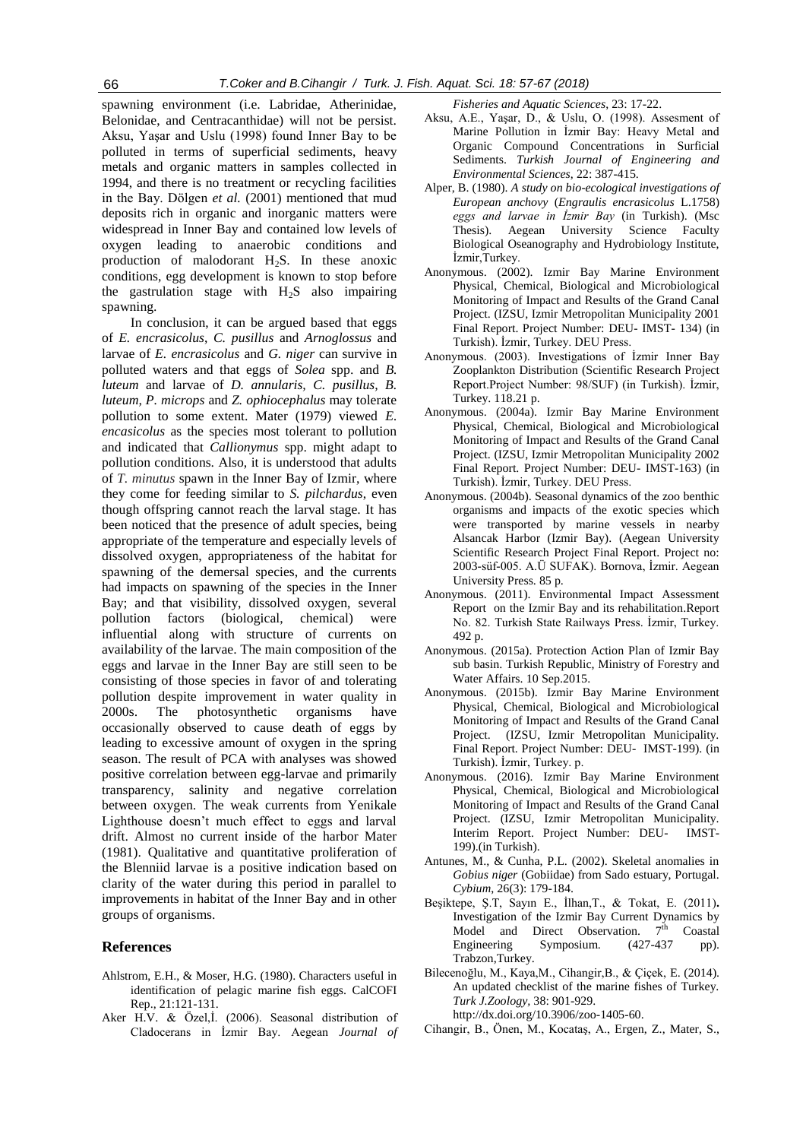spawning environment (i.e. Labridae, Atherinidae, Belonidae, and Centracanthidae) will not be persist. Aksu, Yaşar and Uslu (1998) found Inner Bay to be polluted in terms of superficial sediments, heavy metals and organic matters in samples collected in 1994, and there is no treatment or recycling facilities in the Bay. Dölgen *et al.* (2001) mentioned that mud deposits rich in organic and inorganic matters were widespread in Inner Bay and contained low levels of oxygen leading to anaerobic conditions and production of malodorant  $H_2S$ . In these anoxic conditions, egg development is known to stop before the gastrulation stage with  $H<sub>2</sub>S$  also impairing spawning.

In conclusion, it can be argued based that eggs of *E. encrasicolus*, *C. pusillus* and *Arnoglossus* and larvae of *E. encrasicolus* and *G. niger* can survive in polluted waters and that eggs of *Solea* spp. and *B. luteum* and larvae of *D. annularis, C. pusillus, B. luteum, P. microps* and *Z. ophiocephalus* may tolerate pollution to some extent. Mater (1979) viewed *E. encasicolus* as the species most tolerant to pollution and indicated that *Callionymus* spp. might adapt to pollution conditions. Also, it is understood that adults of *T. minutus* spawn in the Inner Bay of Izmir, where they come for feeding similar to *S. pilchardus*, even though offspring cannot reach the larval stage. It has been noticed that the presence of adult species, being appropriate of the temperature and especially levels of dissolved oxygen, appropriateness of the habitat for spawning of the demersal species, and the currents had impacts on spawning of the species in the Inner Bay; and that visibility, dissolved oxygen, several pollution factors (biological, chemical) were influential along with structure of currents on availability of the larvae. The main composition of the eggs and larvae in the Inner Bay are still seen to be consisting of those species in favor of and tolerating pollution despite improvement in water quality in 2000s. The photosynthetic organisms have occasionally observed to cause death of eggs by leading to excessive amount of oxygen in the spring season. The result of PCA with analyses was showed positive correlation between egg-larvae and primarily transparency, salinity and negative correlation between oxygen. The weak currents from Yenikale Lighthouse doesn't much effect to eggs and larval drift. Almost no current inside of the harbor Mater (1981). Qualitative and quantitative proliferation of the Blenniid larvae is a positive indication based on clarity of the water during this period in parallel to improvements in habitat of the Inner Bay and in other groups of organisms.

# **References**

- Ahlstrom, E.H., & Moser, H.G. (1980). Characters useful in identification of pelagic marine fish eggs. CalCOFI Rep., 21:121-131.
- Aker H.V. & Özel,İ. (2006). Seasonal distribution of Cladocerans in İzmir Bay. Aegean *Journal of*

*Fisheries and Aquatic Sciences*, 23: 17-22.

- Aksu, A.E., Yaşar, D., & Uslu, O. (1998). Assesment of Marine Pollution in İzmir Bay: Heavy Metal and Organic Compound Concentrations in Surficial Sediments. *Turkish Journal of Engineering and Environmental Sciences*, 22: 387-415.
- Alper, B. (1980). *A study on bio-ecological investigations of European anchovy* (*Engraulis encrasicolus* L.1758) *eggs and larvae in İzmir Bay* (in Turkish). (Msc Thesis). Aegean University Science Faculty Biological Oseanography and Hydrobiology Institute, İzmir,Turkey.
- Anonymous. (2002). Izmir Bay Marine Environment Physical, Chemical, Biological and Microbiological Monitoring of Impact and Results of the Grand Canal Project. (IZSU, Izmir Metropolitan Municipality 2001 Final Report. Project Number: DEU- IMST- 134) (in Turkish). İzmir, Turkey. DEU Press.
- Anonymous. (2003). Investigations of İzmir Inner Bay Zooplankton Distribution (Scientific Research Project Report.Project Number: 98/SUF) (in Turkish). İzmir, Turkey. 118.21 p.
- Anonymous. (2004a). Izmir Bay Marine Environment Physical, Chemical, Biological and Microbiological Monitoring of Impact and Results of the Grand Canal Project. (IZSU, Izmir Metropolitan Municipality 2002 Final Report. Project Number: DEU- IMST-163) (in Turkish). İzmir, Turkey. DEU Press.
- Anonymous. (2004b). Seasonal dynamics of the zoo benthic organisms and impacts of the exotic species which were transported by marine vessels in nearby Alsancak Harbor (Izmir Bay). (Aegean University Scientific Research Project Final Report. Project no: 2003-süf-005. A.Ü SUFAK). Bornova, İzmir. Aegean University Press. 85 p.
- Anonymous. (2011). Environmental Impact Assessment Report on the Izmir Bay and its rehabilitation.Report No. 82. Turkish State Railways Press. İzmir, Turkey. 492 p.
- Anonymous. (2015a). Protection Action Plan of Izmir Bay sub basin. Turkish Republic, Ministry of Forestry and Water Affairs. 10 Sep.2015.
- Anonymous. (2015b). Izmir Bay Marine Environment Physical, Chemical, Biological and Microbiological Monitoring of Impact and Results of the Grand Canal Project. (IZSU, Izmir Metropolitan Municipality. Final Report. Project Number: DEU- IMST-199). (in Turkish). İzmir, Turkey. p.
- Anonymous. (2016). Izmir Bay Marine Environment Physical, Chemical, Biological and Microbiological Monitoring of Impact and Results of the Grand Canal Project. (IZSU, Izmir Metropolitan Municipality. Interim Report. Project Number: DEU- IMST-199).(in Turkish).
- Antunes, M., & Cunha, P.L. (2002). Skeletal anomalies in *Gobius niger* (Gobiidae) from Sado estuary, Portugal. *Cybium*, 26(3): 179-184.
- Beşiktepe, Ş.T, Sayın E., İlhan,T., & Tokat, E. (2011)**.** Investigation of the Izmir Bay Current Dynamics by Model and Direct Observation.  $7^{\text{th}}$  Coastal Engineering Symposium. (427-437 pp). Trabzon,Turkey.
- Bilecenoğlu, M., Kaya,M., Cihangir,B., & Çiçek, E. (2014). An updated checklist of the marine fishes of Turkey. *Turk J.Zoology,* 38: 901-929. http://dx.doi.org/10.3906/zoo-1405-60.
- Cihangir, B., Önen, M., Kocataş, A., Ergen, Z., Mater, S.,